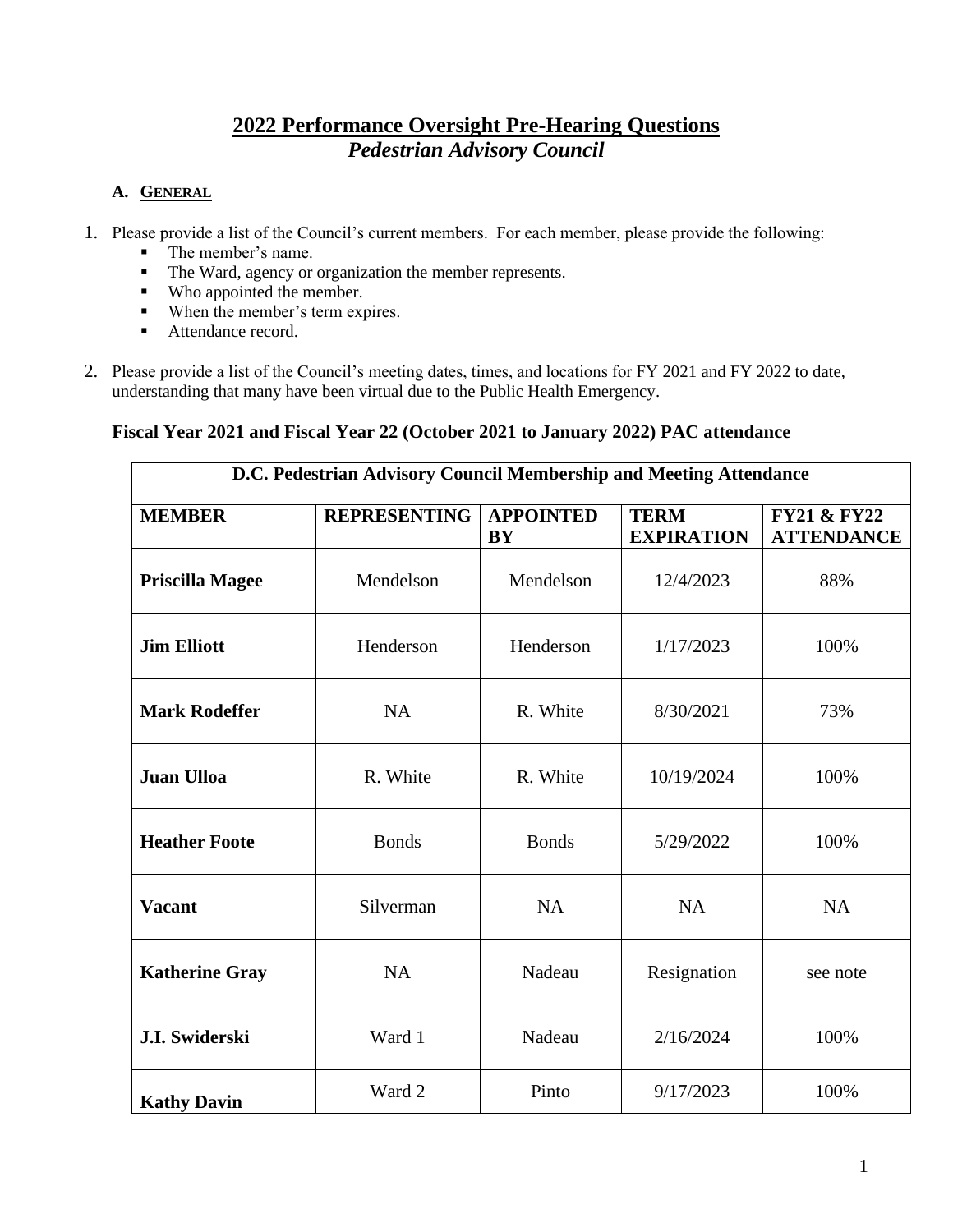# **2022 Performance Oversight Pre-Hearing Questions** *Pedestrian Advisory Council*

## **A. GENERAL**

- 1. Please provide a list of the Council's current members. For each member, please provide the following:
	- The member's name.
	- The Ward, agency or organization the member represents.
	- Who appointed the member.
	- When the member's term expires.
	- Attendance record.
- 2. Please provide a list of the Council's meeting dates, times, and locations for FY 2021 and FY 2022 to date, understanding that many have been virtual due to the Public Health Emergency.

## **Fiscal Year 2021 and Fiscal Year 22 (October 2021 to January 2022) PAC attendance**

| D.C. Pedestrian Advisory Council Membership and Meeting Attendance |                     |                               |                                  |                                             |  |  |
|--------------------------------------------------------------------|---------------------|-------------------------------|----------------------------------|---------------------------------------------|--|--|
| <b>MEMBER</b>                                                      | <b>REPRESENTING</b> | <b>APPOINTED</b><br><b>BY</b> | <b>TERM</b><br><b>EXPIRATION</b> | <b>FY21 &amp; FY22</b><br><b>ATTENDANCE</b> |  |  |
| <b>Priscilla Magee</b>                                             | Mendelson           | Mendelson                     | 12/4/2023                        | 88%                                         |  |  |
| <b>Jim Elliott</b>                                                 | Henderson           | Henderson                     | 1/17/2023                        | 100%                                        |  |  |
| <b>Mark Rodeffer</b>                                               | <b>NA</b>           | R. White                      | 8/30/2021                        | 73%                                         |  |  |
| <b>Juan Ulloa</b>                                                  | R. White            | R. White                      | 10/19/2024                       | 100%                                        |  |  |
| <b>Heather Foote</b>                                               | <b>Bonds</b>        | <b>Bonds</b>                  | 5/29/2022                        | 100%                                        |  |  |
| <b>Vacant</b>                                                      | Silverman           | <b>NA</b>                     | <b>NA</b>                        | <b>NA</b>                                   |  |  |
| <b>Katherine Gray</b>                                              | <b>NA</b>           | Nadeau                        | Resignation                      | see note                                    |  |  |
| <b>J.I. Swiderski</b>                                              | Ward 1              | Nadeau                        | 2/16/2024                        | 100%                                        |  |  |
| <b>Kathy Davin</b>                                                 | Ward 2              | Pinto                         | 9/17/2023                        | 100%                                        |  |  |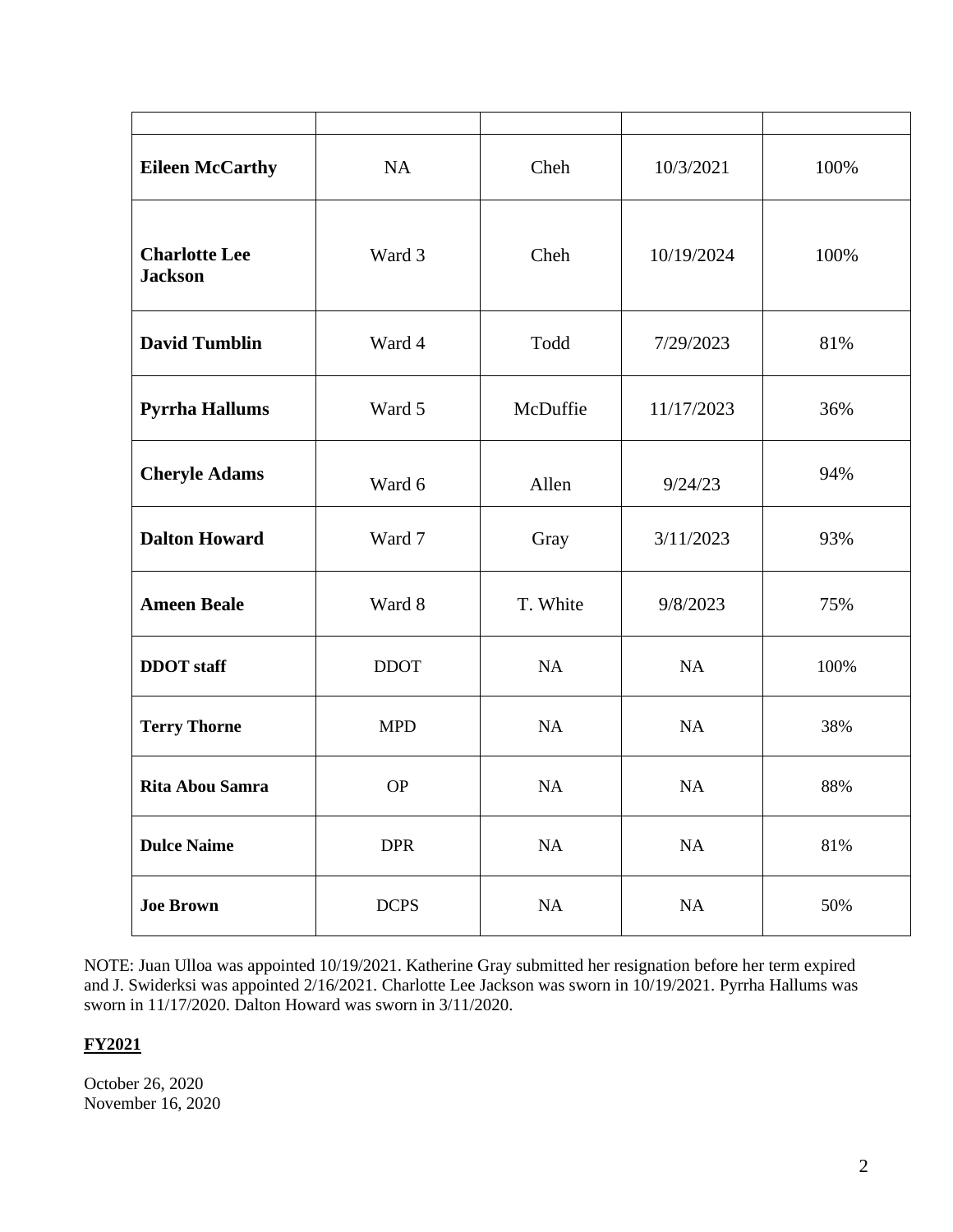| <b>Eileen McCarthy</b>                 | <b>NA</b>   | Cheh      | 10/3/2021  | 100% |
|----------------------------------------|-------------|-----------|------------|------|
| <b>Charlotte Lee</b><br><b>Jackson</b> | Ward 3      | Cheh      | 10/19/2024 | 100% |
| <b>David Tumblin</b>                   | Ward 4      | Todd      | 7/29/2023  | 81%  |
| <b>Pyrrha Hallums</b>                  | Ward 5      | McDuffie  | 11/17/2023 | 36%  |
| <b>Cheryle Adams</b>                   | Ward 6      | Allen     | 9/24/23    | 94%  |
| <b>Dalton Howard</b>                   | Ward 7      | Gray      | 3/11/2023  | 93%  |
| <b>Ameen Beale</b>                     | Ward 8      | T. White  | 9/8/2023   | 75%  |
| <b>DDOT</b> staff                      | <b>DDOT</b> | NA        | NA         | 100% |
| <b>Terry Thorne</b>                    | <b>MPD</b>  | NA        | NA         | 38%  |
| <b>Rita Abou Samra</b>                 | <b>OP</b>   | <b>NA</b> | <b>NA</b>  | 88%  |
| <b>Dulce Naime</b>                     | <b>DPR</b>  | $\rm NA$  | $\rm NA$   | 81%  |
| <b>Joe Brown</b>                       | <b>DCPS</b> | NA        | $\rm NA$   | 50%  |

NOTE: Juan Ulloa was appointed 10/19/2021. Katherine Gray submitted her resignation before her term expired and J. Swiderksi was appointed 2/16/2021. Charlotte Lee Jackson was sworn in 10/19/2021. Pyrrha Hallums was sworn in 11/17/2020. Dalton Howard was sworn in 3/11/2020.

### **FY2021**

October 26, 2020 November 16, 2020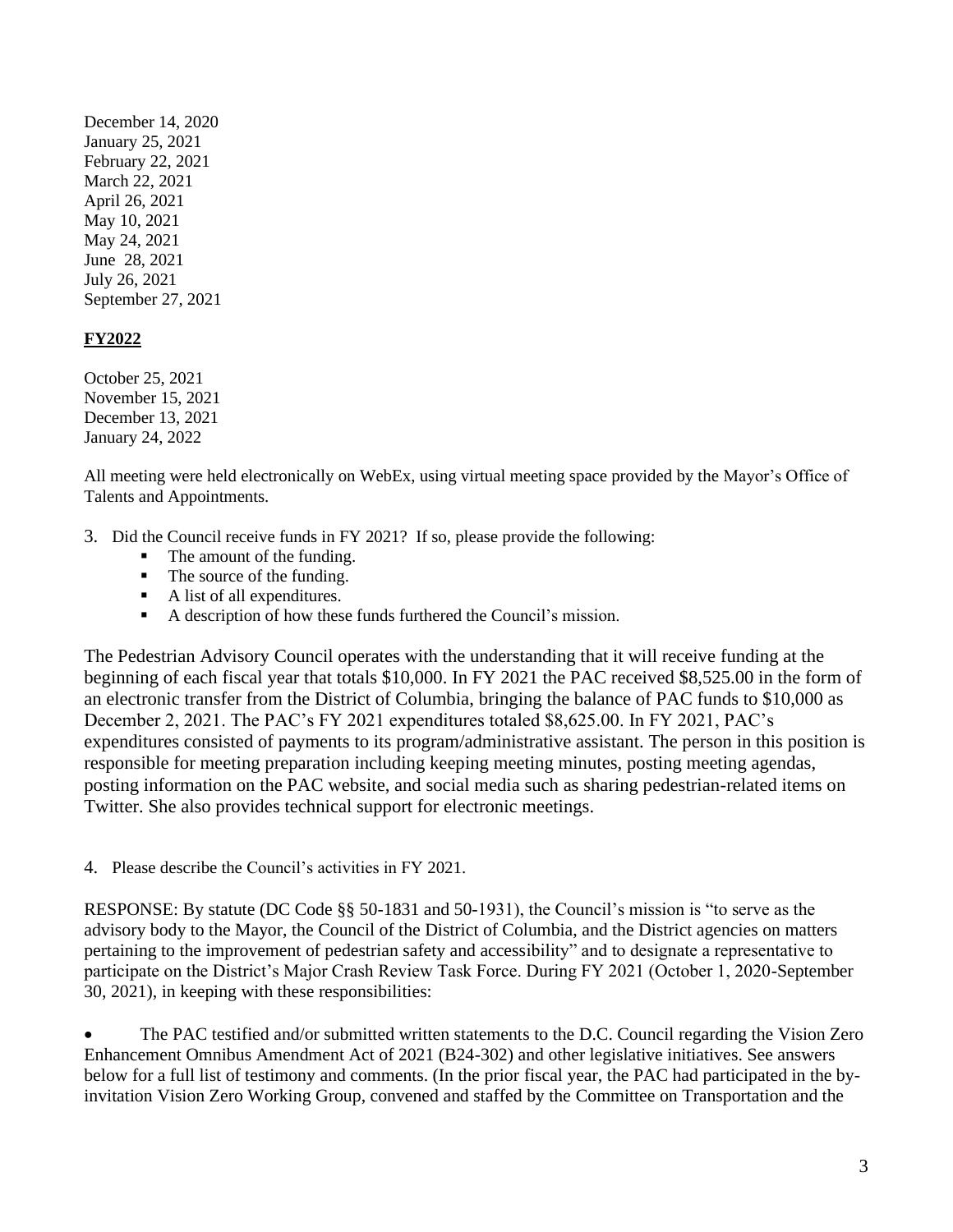December 14, 2020 January 25, 2021 February 22, 2021 March 22, 2021 April 26, 2021 May 10, 2021 May 24, 2021 June 28, 2021 July 26, 2021 September 27, 2021

#### **FY2022**

October 25, 2021 November 15, 2021 December 13, 2021 January 24, 2022

All meeting were held electronically on WebEx, using virtual meeting space provided by the Mayor's Office of Talents and Appointments.

- 3. Did the Council receive funds in FY 2021? If so, please provide the following:
	- The amount of the funding.
	- The source of the funding.
	- A list of all expenditures.
	- A description of how these funds furthered the Council's mission.

The Pedestrian Advisory Council operates with the understanding that it will receive funding at the beginning of each fiscal year that totals \$10,000. In FY 2021 the PAC received \$8,525.00 in the form of an electronic transfer from the District of Columbia, bringing the balance of PAC funds to \$10,000 as December 2, 2021. The PAC's FY 2021 expenditures totaled \$8,625.00. In FY 2021, PAC's expenditures consisted of payments to its program/administrative assistant. The person in this position is responsible for meeting preparation including keeping meeting minutes, posting meeting agendas, posting information on the PAC website, and social media such as sharing pedestrian-related items on Twitter. She also provides technical support for electronic meetings.

4. Please describe the Council's activities in FY 2021.

RESPONSE: By statute (DC Code §§ 50-1831 and 50-1931), the Council's mission is "to serve as the advisory body to the Mayor, the Council of the District of Columbia, and the District agencies on matters pertaining to the improvement of pedestrian safety and accessibility" and to designate a representative to participate on the District's Major Crash Review Task Force. During FY 2021 (October 1, 2020-September 30, 2021), in keeping with these responsibilities:

• The PAC testified and/or submitted written statements to the D.C. Council regarding the Vision Zero Enhancement Omnibus Amendment Act of 2021 (B24-302) and other legislative initiatives. See answers below for a full list of testimony and comments. (In the prior fiscal year, the PAC had participated in the byinvitation Vision Zero Working Group, convened and staffed by the Committee on Transportation and the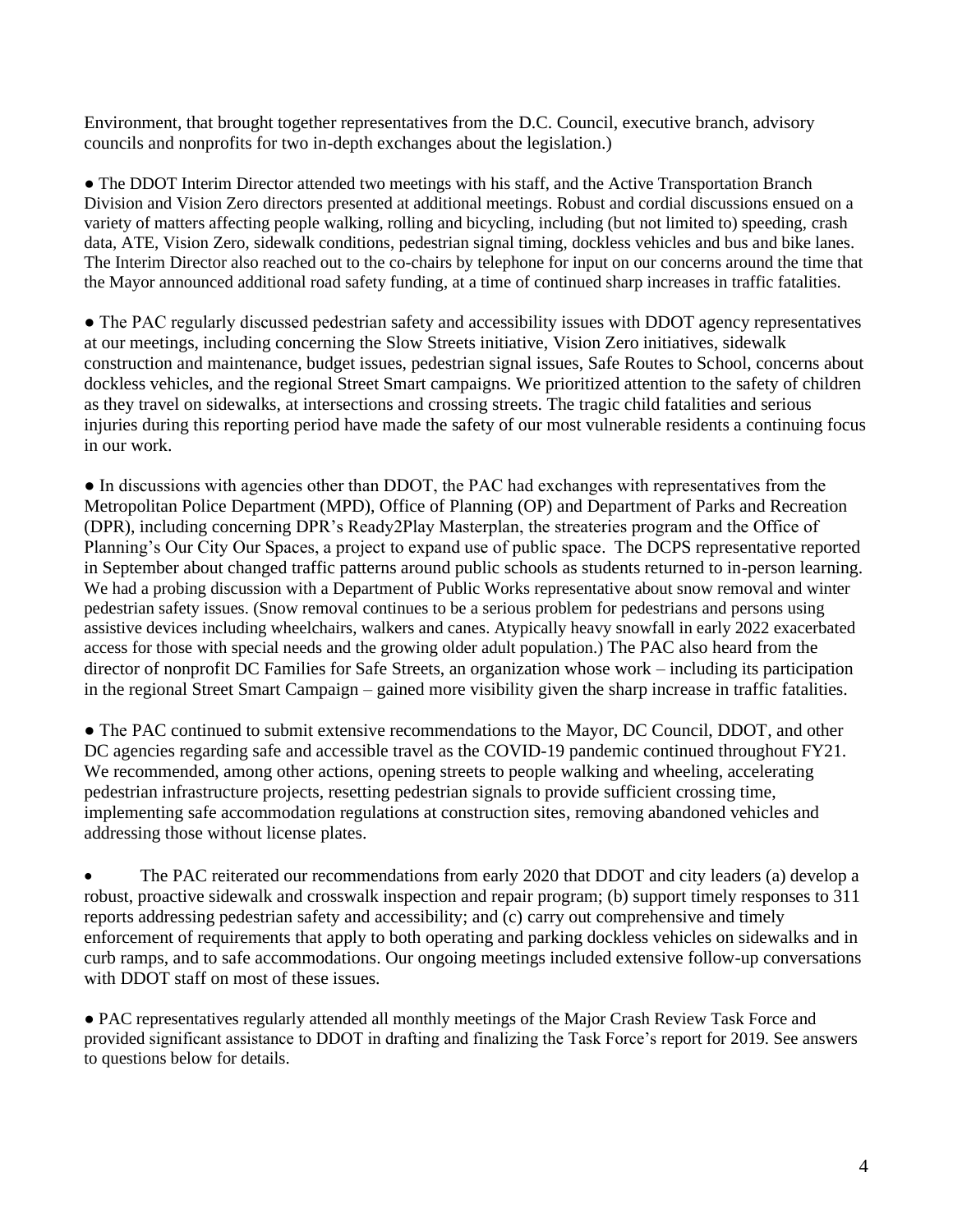Environment, that brought together representatives from the D.C. Council, executive branch, advisory councils and nonprofits for two in-depth exchanges about the legislation.)

• The DDOT Interim Director attended two meetings with his staff, and the Active Transportation Branch Division and Vision Zero directors presented at additional meetings. Robust and cordial discussions ensued on a variety of matters affecting people walking, rolling and bicycling, including (but not limited to) speeding, crash data, ATE, Vision Zero, sidewalk conditions, pedestrian signal timing, dockless vehicles and bus and bike lanes. The Interim Director also reached out to the co-chairs by telephone for input on our concerns around the time that the Mayor announced additional road safety funding, at a time of continued sharp increases in traffic fatalities.

• The PAC regularly discussed pedestrian safety and accessibility issues with DDOT agency representatives at our meetings, including concerning the Slow Streets initiative, Vision Zero initiatives, sidewalk construction and maintenance, budget issues, pedestrian signal issues, Safe Routes to School, concerns about dockless vehicles, and the regional Street Smart campaigns. We prioritized attention to the safety of children as they travel on sidewalks, at intersections and crossing streets. The tragic child fatalities and serious injuries during this reporting period have made the safety of our most vulnerable residents a continuing focus in our work.

● In discussions with agencies other than DDOT, the PAC had exchanges with representatives from the Metropolitan Police Department (MPD), Office of Planning (OP) and Department of Parks and Recreation (DPR), including concerning DPR's Ready2Play Masterplan, the streateries program and the Office of Planning's Our City Our Spaces, a project to expand use of public space. The DCPS representative reported in September about changed traffic patterns around public schools as students returned to in-person learning. We had a probing discussion with a Department of Public Works representative about snow removal and winter pedestrian safety issues. (Snow removal continues to be a serious problem for pedestrians and persons using assistive devices including wheelchairs, walkers and canes. Atypically heavy snowfall in early 2022 exacerbated access for those with special needs and the growing older adult population.) The PAC also heard from the director of nonprofit DC Families for Safe Streets, an organization whose work – including its participation in the regional Street Smart Campaign – gained more visibility given the sharp increase in traffic fatalities.

• The PAC continued to submit extensive recommendations to the Mayor, DC Council, DDOT, and other DC agencies regarding safe and accessible travel as the COVID-19 pandemic continued throughout FY21. We recommended, among other actions, opening streets to people walking and wheeling, accelerating pedestrian infrastructure projects, resetting pedestrian signals to provide sufficient crossing time, implementing safe accommodation regulations at construction sites, removing abandoned vehicles and addressing those without license plates.

• The PAC reiterated our recommendations from early 2020 that DDOT and city leaders (a) develop a robust, proactive sidewalk and crosswalk inspection and repair program; (b) support timely responses to 311 reports addressing pedestrian safety and accessibility; and (c) carry out comprehensive and timely enforcement of requirements that apply to both operating and parking dockless vehicles on sidewalks and in curb ramps, and to safe accommodations. Our ongoing meetings included extensive follow-up conversations with DDOT staff on most of these issues.

● PAC representatives regularly attended all monthly meetings of the Major Crash Review Task Force and provided significant assistance to DDOT in drafting and finalizing the Task Force's report for 2019. See answers to questions below for details.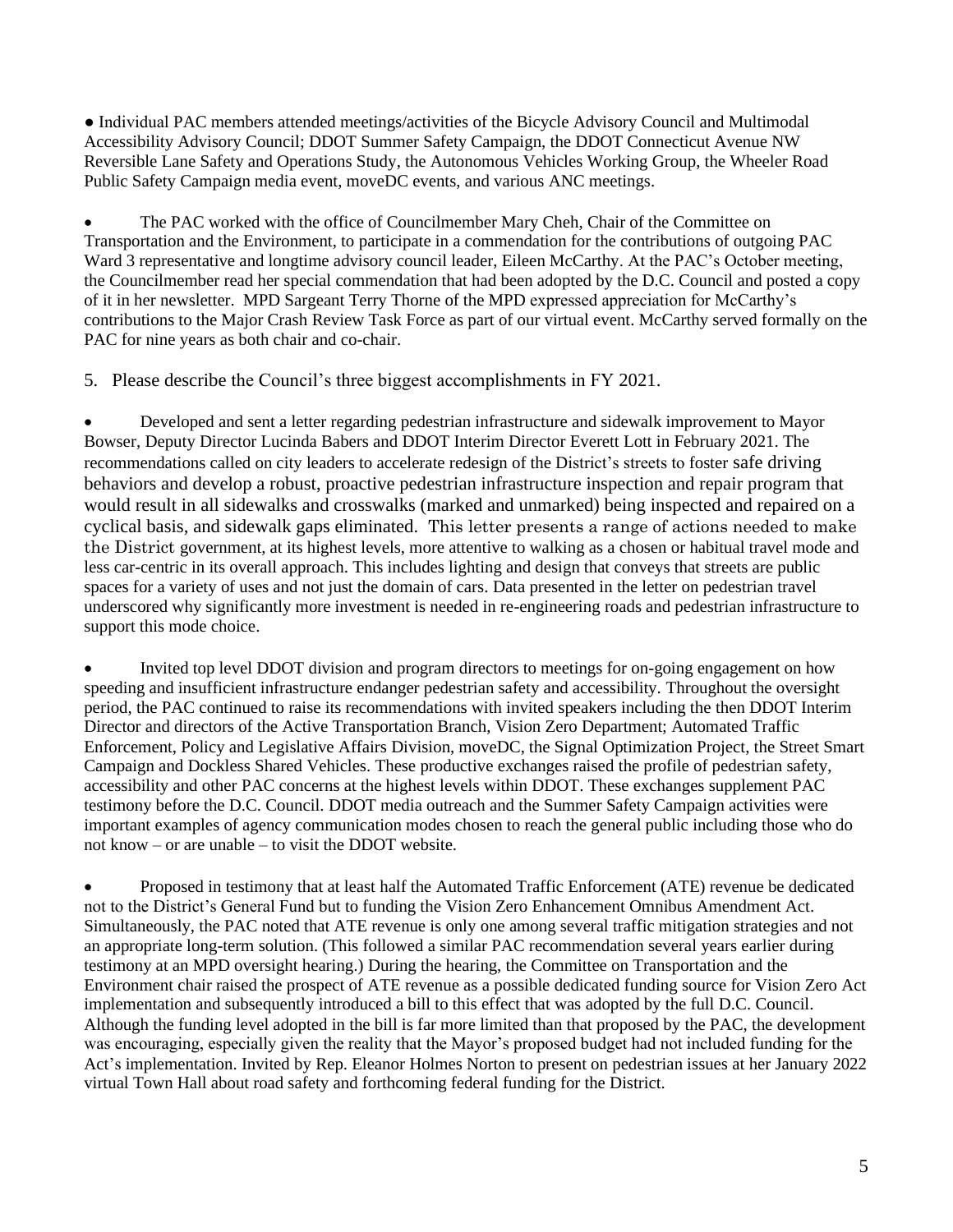● Individual PAC members attended meetings/activities of the Bicycle Advisory Council and Multimodal Accessibility Advisory Council; DDOT Summer Safety Campaign, the DDOT Connecticut Avenue NW Reversible Lane Safety and Operations Study, the Autonomous Vehicles Working Group, the Wheeler Road Public Safety Campaign media event, moveDC events, and various ANC meetings.

The PAC worked with the office of Councilmember Mary Cheh, Chair of the Committee on Transportation and the Environment, to participate in a commendation for the contributions of outgoing PAC Ward 3 representative and longtime advisory council leader, Eileen McCarthy. At the PAC's October meeting, the Councilmember read her special commendation that had been adopted by the D.C. Council and posted a copy of it in her newsletter. MPD Sargeant Terry Thorne of the MPD expressed appreciation for McCarthy's contributions to the Major Crash Review Task Force as part of our virtual event. McCarthy served formally on the PAC for nine years as both chair and co-chair.

5. Please describe the Council's three biggest accomplishments in FY 2021.

• Developed and sent a letter regarding pedestrian infrastructure and sidewalk improvement to Mayor Bowser, Deputy Director Lucinda Babers and DDOT Interim Director Everett Lott in February 2021. The recommendations called on city leaders to accelerate redesign of the District's streets to foster safe driving behaviors and develop a robust, proactive pedestrian infrastructure inspection and repair program that would result in all sidewalks and crosswalks (marked and unmarked) being inspected and repaired on a cyclical basis, and sidewalk gaps eliminated. This letter presents a range of actions needed to make the District government, at its highest levels, more attentive to walking as a chosen or habitual travel mode and less car-centric in its overall approach. This includes lighting and design that conveys that streets are public spaces for a variety of uses and not just the domain of cars. Data presented in the letter on pedestrian travel underscored why significantly more investment is needed in re-engineering roads and pedestrian infrastructure to support this mode choice.

• Invited top level DDOT division and program directors to meetings for on-going engagement on how speeding and insufficient infrastructure endanger pedestrian safety and accessibility. Throughout the oversight period, the PAC continued to raise its recommendations with invited speakers including the then DDOT Interim Director and directors of the Active Transportation Branch, Vision Zero Department; Automated Traffic Enforcement, Policy and Legislative Affairs Division, moveDC, the Signal Optimization Project, the Street Smart Campaign and Dockless Shared Vehicles. These productive exchanges raised the profile of pedestrian safety, accessibility and other PAC concerns at the highest levels within DDOT. These exchanges supplement PAC testimony before the D.C. Council. DDOT media outreach and the Summer Safety Campaign activities were important examples of agency communication modes chosen to reach the general public including those who do not know – or are unable – to visit the DDOT website.

• Proposed in testimony that at least half the Automated Traffic Enforcement (ATE) revenue be dedicated not to the District's General Fund but to funding the Vision Zero Enhancement Omnibus Amendment Act. Simultaneously, the PAC noted that ATE revenue is only one among several traffic mitigation strategies and not an appropriate long-term solution. (This followed a similar PAC recommendation several years earlier during testimony at an MPD oversight hearing.) During the hearing, the Committee on Transportation and the Environment chair raised the prospect of ATE revenue as a possible dedicated funding source for Vision Zero Act implementation and subsequently introduced a bill to this effect that was adopted by the full D.C. Council. Although the funding level adopted in the bill is far more limited than that proposed by the PAC, the development was encouraging, especially given the reality that the Mayor's proposed budget had not included funding for the Act's implementation. Invited by Rep. Eleanor Holmes Norton to present on pedestrian issues at her January 2022 virtual Town Hall about road safety and forthcoming federal funding for the District.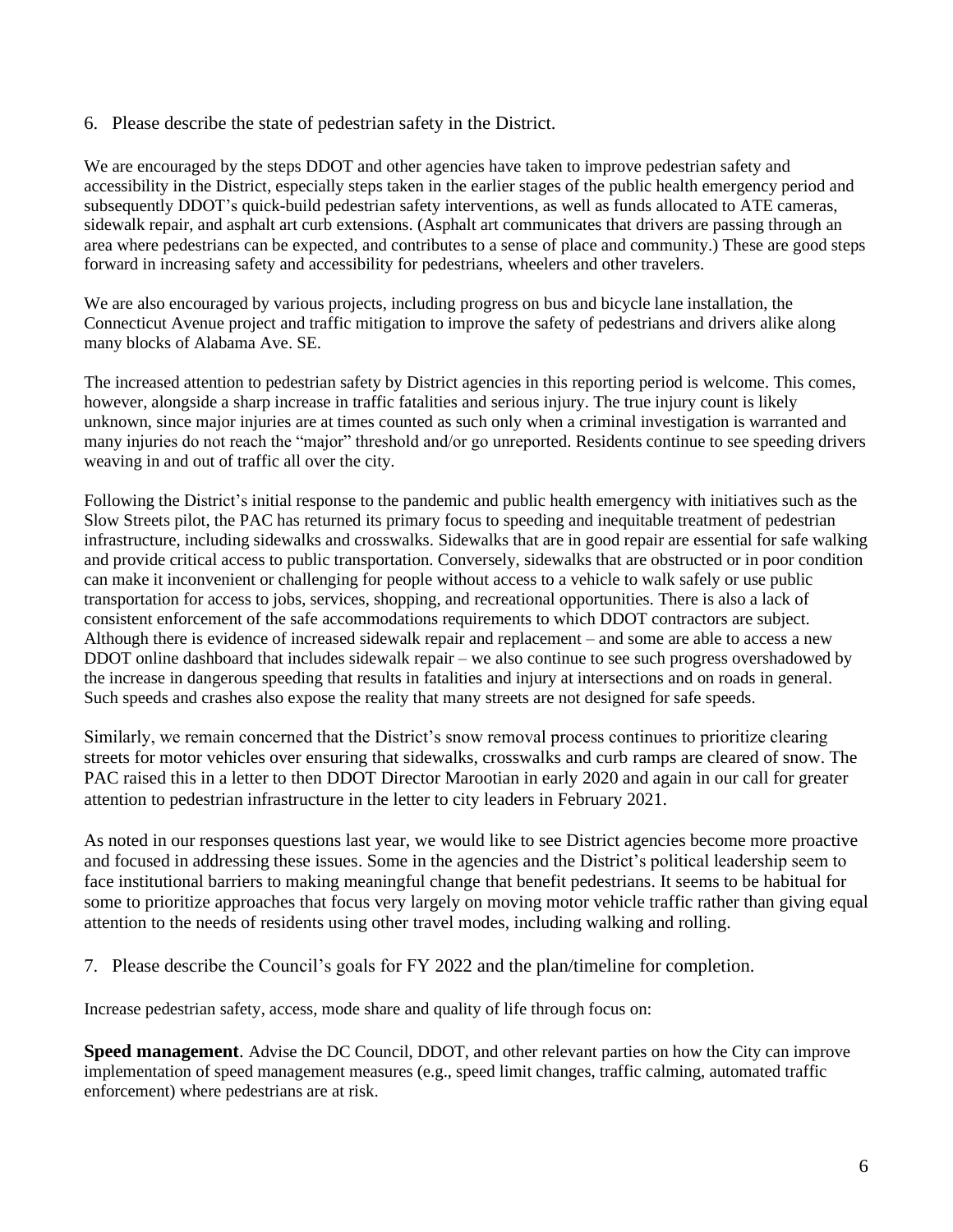6. Please describe the state of pedestrian safety in the District.

We are encouraged by the steps DDOT and other agencies have taken to improve pedestrian safety and accessibility in the District, especially steps taken in the earlier stages of the public health emergency period and subsequently DDOT's quick-build pedestrian safety interventions, as well as funds allocated to ATE cameras, sidewalk repair, and asphalt art curb extensions. (Asphalt art communicates that drivers are passing through an area where pedestrians can be expected, and contributes to a sense of place and community.) These are good steps forward in increasing safety and accessibility for pedestrians, wheelers and other travelers.

We are also encouraged by various projects, including progress on bus and bicycle lane installation, the Connecticut Avenue project and traffic mitigation to improve the safety of pedestrians and drivers alike along many blocks of Alabama Ave. SE.

The increased attention to pedestrian safety by District agencies in this reporting period is welcome. This comes, however, alongside a sharp increase in traffic fatalities and serious injury. The true injury count is likely unknown, since major injuries are at times counted as such only when a criminal investigation is warranted and many injuries do not reach the "major" threshold and/or go unreported. Residents continue to see speeding drivers weaving in and out of traffic all over the city.

Following the District's initial response to the pandemic and public health emergency with initiatives such as the Slow Streets pilot, the PAC has returned its primary focus to speeding and inequitable treatment of pedestrian infrastructure, including sidewalks and crosswalks. Sidewalks that are in good repair are essential for safe walking and provide critical access to public transportation. Conversely, sidewalks that are obstructed or in poor condition can make it inconvenient or challenging for people without access to a vehicle to walk safely or use public transportation for access to jobs, services, shopping, and recreational opportunities. There is also a lack of consistent enforcement of the safe accommodations requirements to which DDOT contractors are subject. Although there is evidence of increased sidewalk repair and replacement – and some are able to access a new DDOT online dashboard that includes sidewalk repair – we also continue to see such progress overshadowed by the increase in dangerous speeding that results in fatalities and injury at intersections and on roads in general. Such speeds and crashes also expose the reality that many streets are not designed for safe speeds.

Similarly, we remain concerned that the District's snow removal process continues to prioritize clearing streets for motor vehicles over ensuring that sidewalks, crosswalks and curb ramps are cleared of snow. The PAC raised this in a letter to then DDOT Director Marootian in early 2020 and again in our call for greater attention to pedestrian infrastructure in the letter to city leaders in February 2021.

As noted in our responses questions last year, we would like to see District agencies become more proactive and focused in addressing these issues. Some in the agencies and the District's political leadership seem to face institutional barriers to making meaningful change that benefit pedestrians. It seems to be habitual for some to prioritize approaches that focus very largely on moving motor vehicle traffic rather than giving equal attention to the needs of residents using other travel modes, including walking and rolling.

7. Please describe the Council's goals for FY 2022 and the plan/timeline for completion.

Increase pedestrian safety, access, mode share and quality of life through focus on:

**Speed management**. Advise the DC Council, DDOT, and other relevant parties on how the City can improve implementation of speed management measures (e.g., speed limit changes, traffic calming, automated traffic enforcement) where pedestrians are at risk.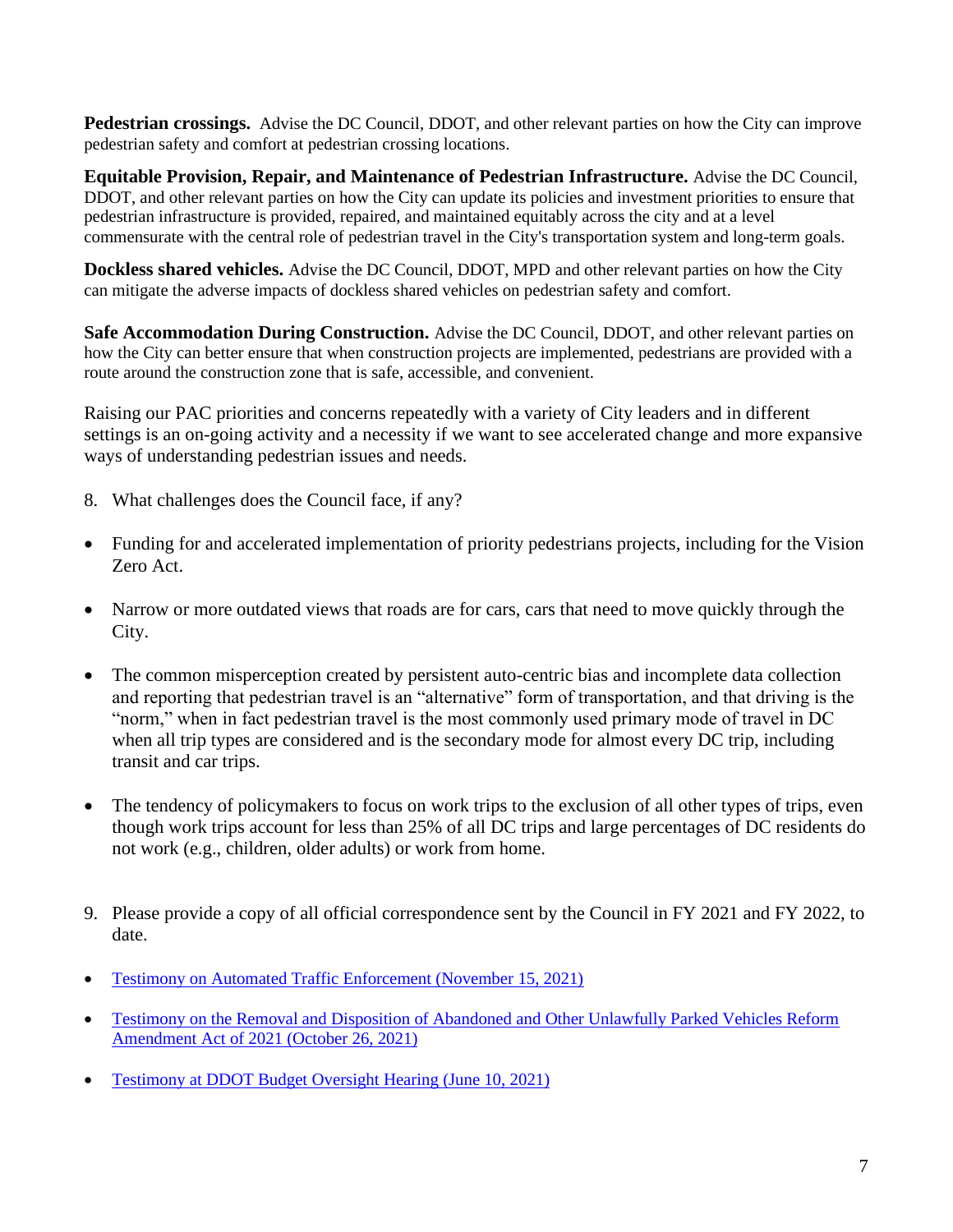**Pedestrian crossings.** Advise the DC Council, DDOT, and other relevant parties on how the City can improve pedestrian safety and comfort at pedestrian crossing locations.

**Equitable Provision, Repair, and Maintenance of Pedestrian Infrastructure.** Advise the DC Council, DDOT, and other relevant parties on how the City can update its policies and investment priorities to ensure that pedestrian infrastructure is provided, repaired, and maintained equitably across the city and at a level commensurate with the central role of pedestrian travel in the City's transportation system and long-term goals.

**Dockless shared vehicles.** Advise the DC Council, DDOT, MPD and other relevant parties on how the City can mitigate the adverse impacts of dockless shared vehicles on pedestrian safety and comfort.

**Safe Accommodation During Construction.** Advise the DC Council, DDOT, and other relevant parties on how the City can better ensure that when construction projects are implemented, pedestrians are provided with a route around the construction zone that is safe, accessible, and convenient.

Raising our PAC priorities and concerns repeatedly with a variety of City leaders and in different settings is an on-going activity and a necessity if we want to see accelerated change and more expansive ways of understanding pedestrian issues and needs.

- 8. What challenges does the Council face, if any?
- Funding for and accelerated implementation of priority pedestrians projects, including for the Vision Zero Act.
- Narrow or more outdated views that roads are for cars, cars that need to move quickly through the City.
- The common misperception created by persistent auto-centric bias and incomplete data collection and reporting that pedestrian travel is an "alternative" form of transportation, and that driving is the "norm," when in fact pedestrian travel is the most commonly used primary mode of travel in DC when all trip types are considered and is the secondary mode for almost every DC trip, including transit and car trips.
- The tendency of policymakers to focus on work trips to the exclusion of all other types of trips, even though work trips account for less than 25% of all DC trips and large percentages of DC residents do not work (e.g., children, older adults) or work from home.
- 9. Please provide a copy of all official correspondence sent by the Council in FY 2021 and FY 2022, to date.
- [Testimony on Automated Traffic Enforcement \(November 15, 2021\)](https://drive.google.com/file/d/1D_xa0MKCS8CttK9M22fYMzqWagCD3V5v/view)
- Testimony on [the Removal and Disposition of Abandoned and Other Unlawfully Parked Vehicles Reform](https://docs.google.com/document/d/1NQMA73aFVChkDImDiPapaj4dzWLkUJkF)  Amendment [Act of 2021 \(October 26, 2021\)](https://docs.google.com/document/d/1NQMA73aFVChkDImDiPapaj4dzWLkUJkF)
- [Testimony at DDOT Budget Oversight Hearing \(June 10, 2021\)](https://drive.google.com/file/d/1q6d4AdWNNTLG32OEnrngSZ4DVmOBwddp/view)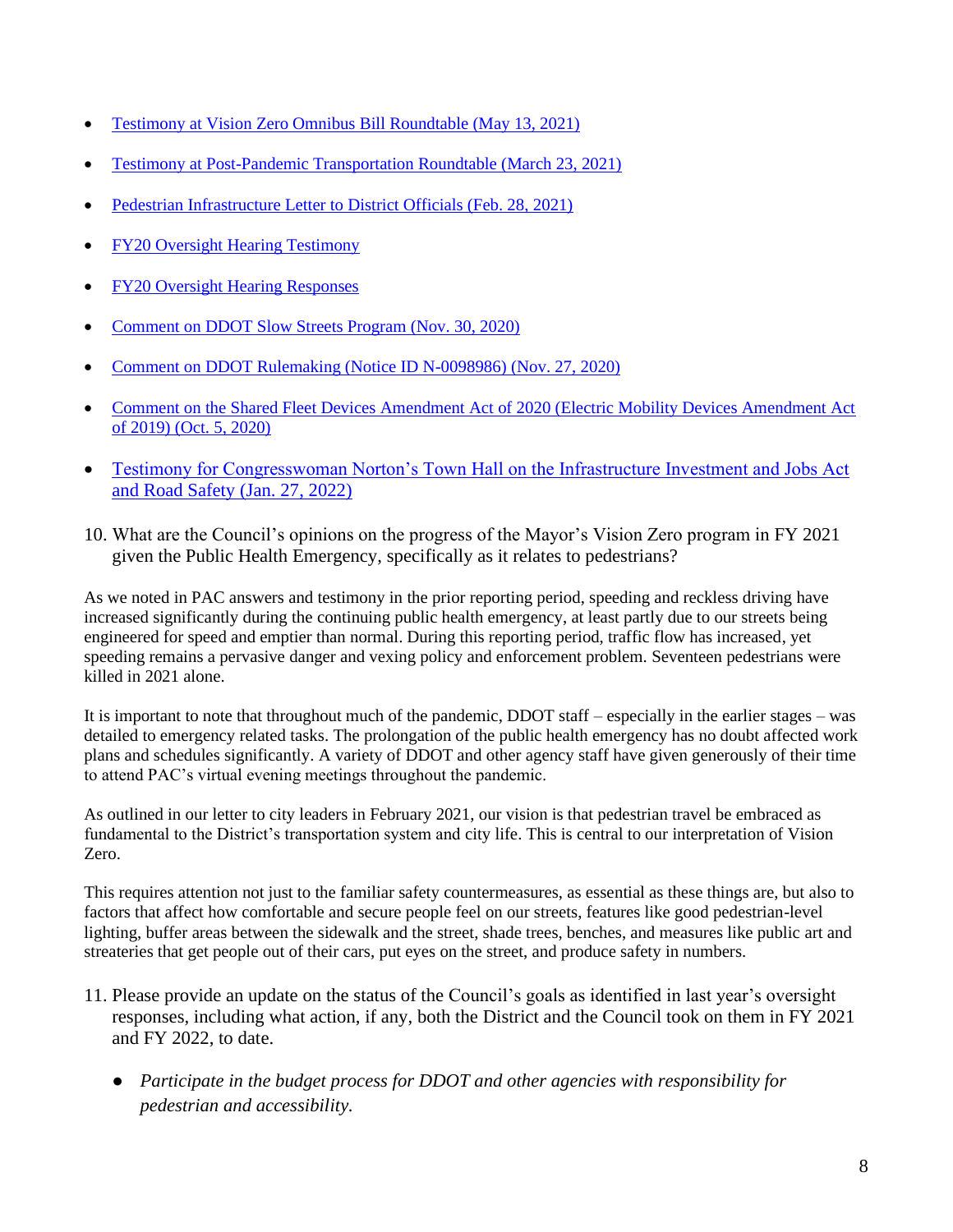- [Testimony at Vision Zero Omnibus Bill Roundtable \(May 13, 2021\)](https://drive.google.com/file/d/1DJ2rDlajhh9KZX9hBtnvzC1_U11wQuw3/view)
- [Testimony at Post-Pandemic Transportation Roundtable \(March 23, 2021\)](https://drive.google.com/file/d/1x1ImytZl6WtViIId9Zimo122pc5dsZh3/view)
- [Pedestrian Infrastructure Letter to District Officials \(Feb. 28, 2021\)](https://drive.google.com/file/d/1sWshRvnLQMuNsoawi4v-7GCy0Y3yBRh5/view)
- [FY20 Oversight Hearing Testimony](https://drive.google.com/file/d/1V1VbKwpMUVhTlaY_CQbSlC_o5ZCqfbyj/view)
- [FY20 Oversight Hearing Responses](https://drive.google.com/file/d/1DvpThC-GEoAPooE6aJb34PrncCKdSh59/view)
- [Comment on DDOT Slow Streets Program \(Nov. 30, 2020\)](https://drive.google.com/file/d/1-kPPxwDgbaxoOO9c5yGIBqIBa4o4FmLI/view)
- [Comment on DDOT Rulemaking \(Notice ID N-0098986\) \(Nov. 27, 2020\)](https://drive.google.com/file/d/1kboWlHtN_5th-KlzaSnckp0mOMPkpSB0/view)
- Comment on the Shared Fleet Devices Amendment Act of 2020 (Electric Mobility Devices Amendment Act [of 2019\) \(Oct. 5, 2020\)](https://drive.google.com/file/d/1o5JlGsQ2I5AxVHFPyZA4vfsc5jII6YPP/view)
- [Testimony for Congresswoman Norton's Town Hall on the Infrastructure Investment and Jobs Act](https://docs.google.com/document/d/1LisQ29IH6z81-YrPFHxxUXLc-_vpTgA3/edit?usp=sharing&ouid=100928488948747150009&rtpof=true&sd=true)  [and Road Safety \(Jan. 27, 2022\)](https://docs.google.com/document/d/1LisQ29IH6z81-YrPFHxxUXLc-_vpTgA3/edit?usp=sharing&ouid=100928488948747150009&rtpof=true&sd=true)
- 10. What are the Council's opinions on the progress of the Mayor's Vision Zero program in FY 2021 given the Public Health Emergency, specifically as it relates to pedestrians?

As we noted in PAC answers and testimony in the prior reporting period, speeding and reckless driving have increased significantly during the continuing public health emergency, at least partly due to our streets being engineered for speed and emptier than normal. During this reporting period, traffic flow has increased, yet speeding remains a pervasive danger and vexing policy and enforcement problem. Seventeen pedestrians were killed in 2021 alone.

It is important to note that throughout much of the pandemic, DDOT staff – especially in the earlier stages – was detailed to emergency related tasks. The prolongation of the public health emergency has no doubt affected work plans and schedules significantly. A variety of DDOT and other agency staff have given generously of their time to attend PAC's virtual evening meetings throughout the pandemic.

As outlined in our letter to city leaders in February 2021, our vision is that pedestrian travel be embraced as fundamental to the District's transportation system and city life. This is central to our interpretation of Vision Zero.

This requires attention not just to the familiar safety countermeasures, as essential as these things are, but also to factors that affect how comfortable and secure people feel on our streets, features like good pedestrian-level lighting, buffer areas between the sidewalk and the street, shade trees, benches, and measures like public art and streateries that get people out of their cars, put eyes on the street, and produce safety in numbers.

- 11. Please provide an update on the status of the Council's goals as identified in last year's oversight responses, including what action, if any, both the District and the Council took on them in FY 2021 and FY 2022, to date.
	- *Participate in the budget process for DDOT and other agencies with responsibility for pedestrian and accessibility.*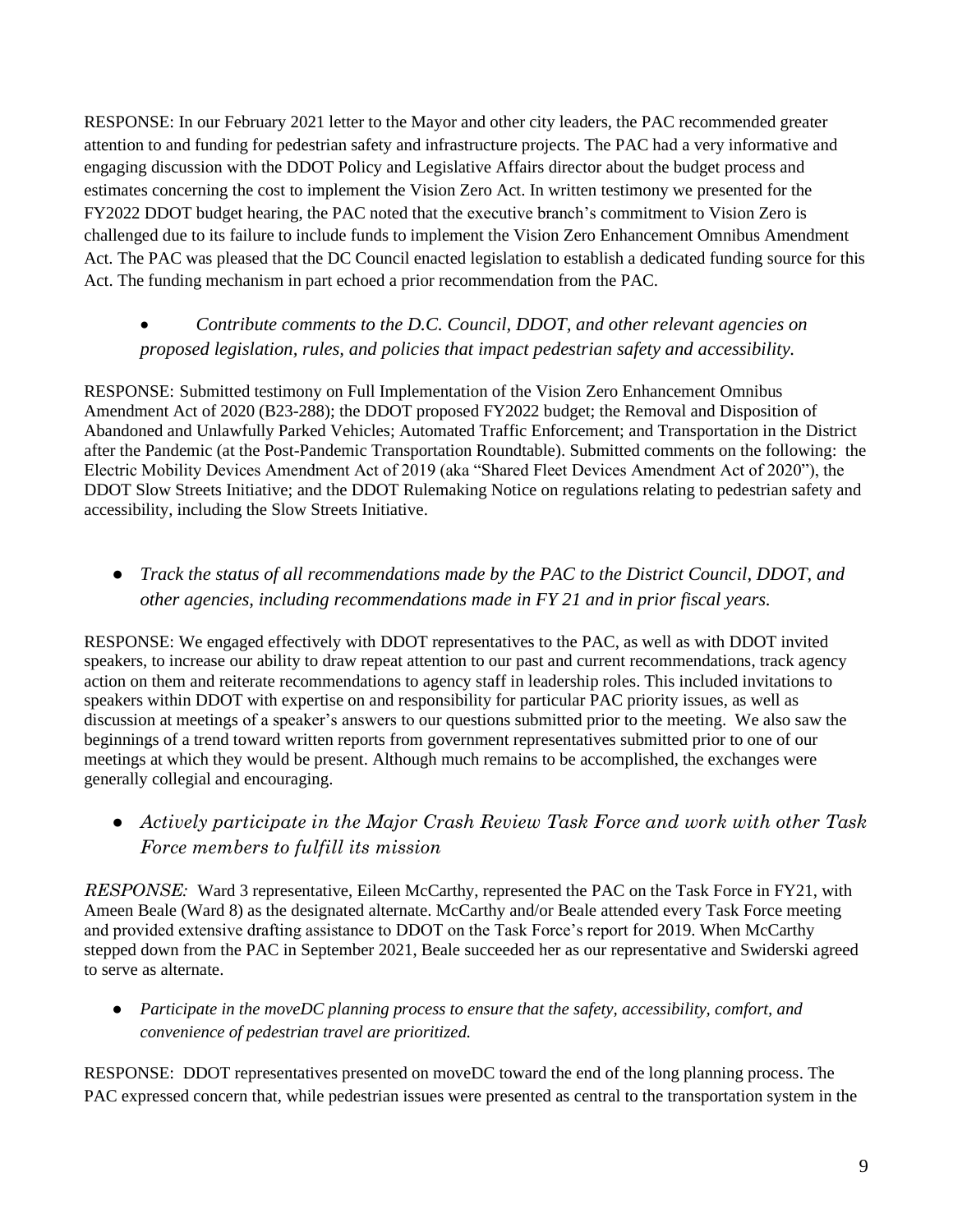RESPONSE: In our February 2021 letter to the Mayor and other city leaders, the PAC recommended greater attention to and funding for pedestrian safety and infrastructure projects. The PAC had a very informative and engaging discussion with the DDOT Policy and Legislative Affairs director about the budget process and estimates concerning the cost to implement the Vision Zero Act. In written testimony we presented for the FY2022 DDOT budget hearing, the PAC noted that the executive branch's commitment to Vision Zero is challenged due to its failure to include funds to implement the Vision Zero Enhancement Omnibus Amendment Act. The PAC was pleased that the DC Council enacted legislation to establish a dedicated funding source for this Act. The funding mechanism in part echoed a prior recommendation from the PAC.

## • *Contribute comments to the D.C. Council, DDOT, and other relevant agencies on proposed legislation, rules, and policies that impact pedestrian safety and accessibility.*

RESPONSE: Submitted testimony on Full Implementation of the Vision Zero Enhancement Omnibus Amendment Act of 2020 (B23-288); the DDOT proposed FY2022 budget; the Removal and Disposition of Abandoned and Unlawfully Parked Vehicles; Automated Traffic Enforcement; and Transportation in the District after the Pandemic (at the Post-Pandemic Transportation Roundtable). Submitted comments on the following: the Electric Mobility Devices Amendment Act of 2019 (aka "Shared Fleet Devices Amendment Act of 2020"), the DDOT Slow Streets Initiative; and the DDOT Rulemaking Notice on regulations relating to pedestrian safety and accessibility, including the Slow Streets Initiative.

● *Track the status of all recommendations made by the PAC to the District Council, DDOT, and other agencies, including recommendations made in FY 21 and in prior fiscal years.* 

RESPONSE: We engaged effectively with DDOT representatives to the PAC, as well as with DDOT invited speakers, to increase our ability to draw repeat attention to our past and current recommendations, track agency action on them and reiterate recommendations to agency staff in leadership roles. This included invitations to speakers within DDOT with expertise on and responsibility for particular PAC priority issues, as well as discussion at meetings of a speaker's answers to our questions submitted prior to the meeting. We also saw the beginnings of a trend toward written reports from government representatives submitted prior to one of our meetings at which they would be present. Although much remains to be accomplished, the exchanges were generally collegial and encouraging.

● *Actively participate in the Major Crash Review Task Force and work with other Task Force members to fulfill its mission*

*RESPONSE:* Ward 3 representative, Eileen McCarthy, represented the PAC on the Task Force in FY21, with Ameen Beale (Ward 8) as the designated alternate. McCarthy and/or Beale attended every Task Force meeting and provided extensive drafting assistance to DDOT on the Task Force's report for 2019. When McCarthy stepped down from the PAC in September 2021, Beale succeeded her as our representative and Swiderski agreed to serve as alternate.

● *Participate in the moveDC planning process to ensure that the safety, accessibility, comfort, and convenience of pedestrian travel are prioritized.*

RESPONSE: DDOT representatives presented on moveDC toward the end of the long planning process. The PAC expressed concern that, while pedestrian issues were presented as central to the transportation system in the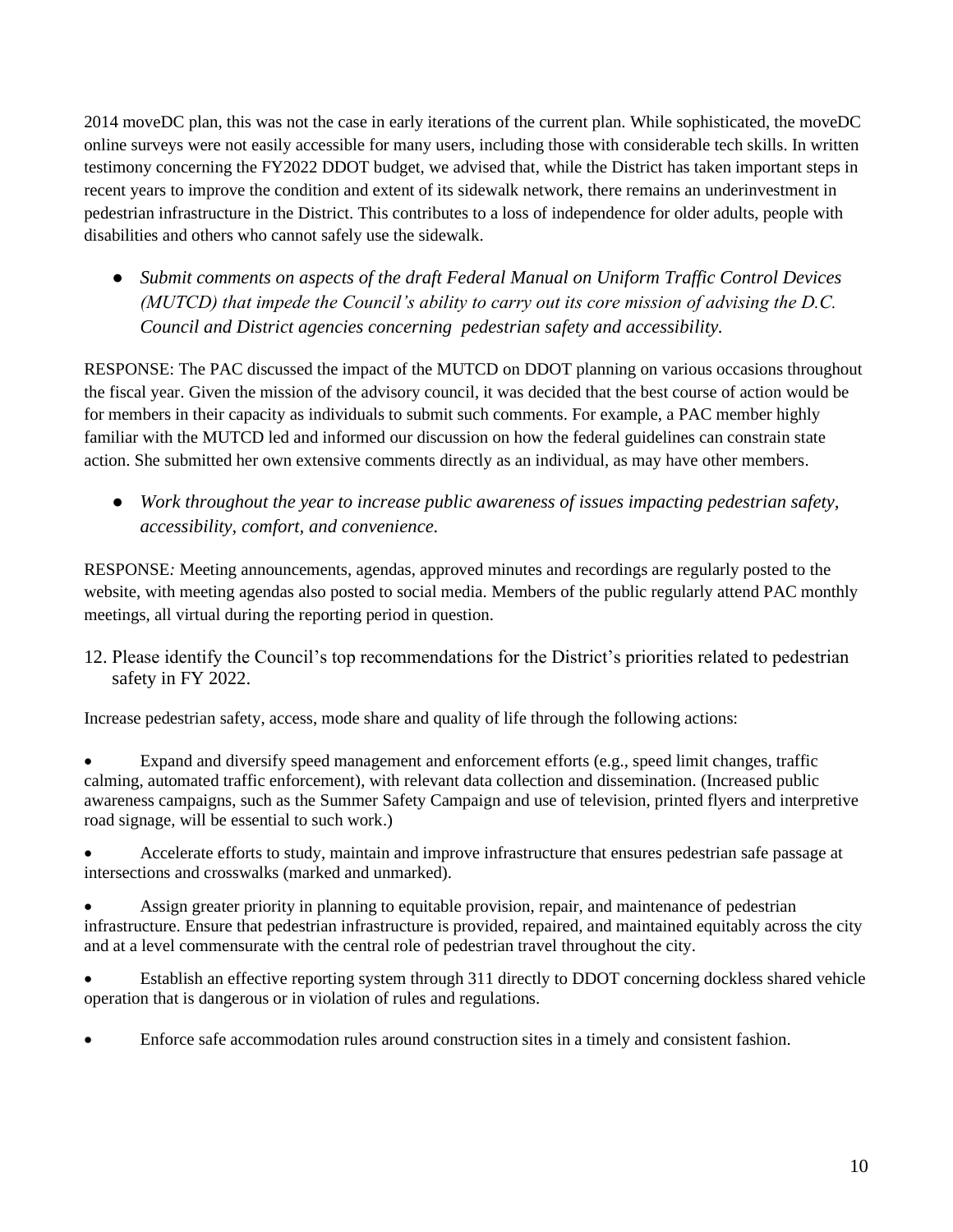2014 moveDC plan, this was not the case in early iterations of the current plan. While sophisticated, the moveDC online surveys were not easily accessible for many users, including those with considerable tech skills. In written testimony concerning the FY2022 DDOT budget, we advised that, while the District has taken important steps in recent years to improve the condition and extent of its sidewalk network, there remains an underinvestment in pedestrian infrastructure in the District. This contributes to a loss of independence for older adults, people with disabilities and others who cannot safely use the sidewalk.

● *Submit comments on aspects of the draft Federal Manual on Uniform Traffic Control Devices (MUTCD) that impede the Council's ability to carry out its core mission of advising the D.C. Council and District agencies concerning pedestrian safety and accessibility.* 

RESPONSE: The PAC discussed the impact of the MUTCD on DDOT planning on various occasions throughout the fiscal year. Given the mission of the advisory council, it was decided that the best course of action would be for members in their capacity as individuals to submit such comments. For example, a PAC member highly familiar with the MUTCD led and informed our discussion on how the federal guidelines can constrain state action. She submitted her own extensive comments directly as an individual, as may have other members.

● *Work throughout the year to increase public awareness of issues impacting pedestrian safety, accessibility, comfort, and convenience.*

RESPONSE*:* Meeting announcements, agendas, approved minutes and recordings are regularly posted to the website, with meeting agendas also posted to social media. Members of the public regularly attend PAC monthly meetings, all virtual during the reporting period in question.

12. Please identify the Council's top recommendations for the District's priorities related to pedestrian safety in FY 2022.

Increase pedestrian safety, access, mode share and quality of life through the following actions:

Expand and diversify speed management and enforcement efforts (e.g., speed limit changes, traffic calming, automated traffic enforcement), with relevant data collection and dissemination. (Increased public awareness campaigns, such as the Summer Safety Campaign and use of television, printed flyers and interpretive road signage, will be essential to such work.)

• Accelerate efforts to study, maintain and improve infrastructure that ensures pedestrian safe passage at intersections and crosswalks (marked and unmarked).

Assign greater priority in planning to equitable provision, repair, and maintenance of pedestrian infrastructure. Ensure that pedestrian infrastructure is provided, repaired, and maintained equitably across the city and at a level commensurate with the central role of pedestrian travel throughout the city.

• Establish an effective reporting system through 311 directly to DDOT concerning dockless shared vehicle operation that is dangerous or in violation of rules and regulations.

• Enforce safe accommodation rules around construction sites in a timely and consistent fashion.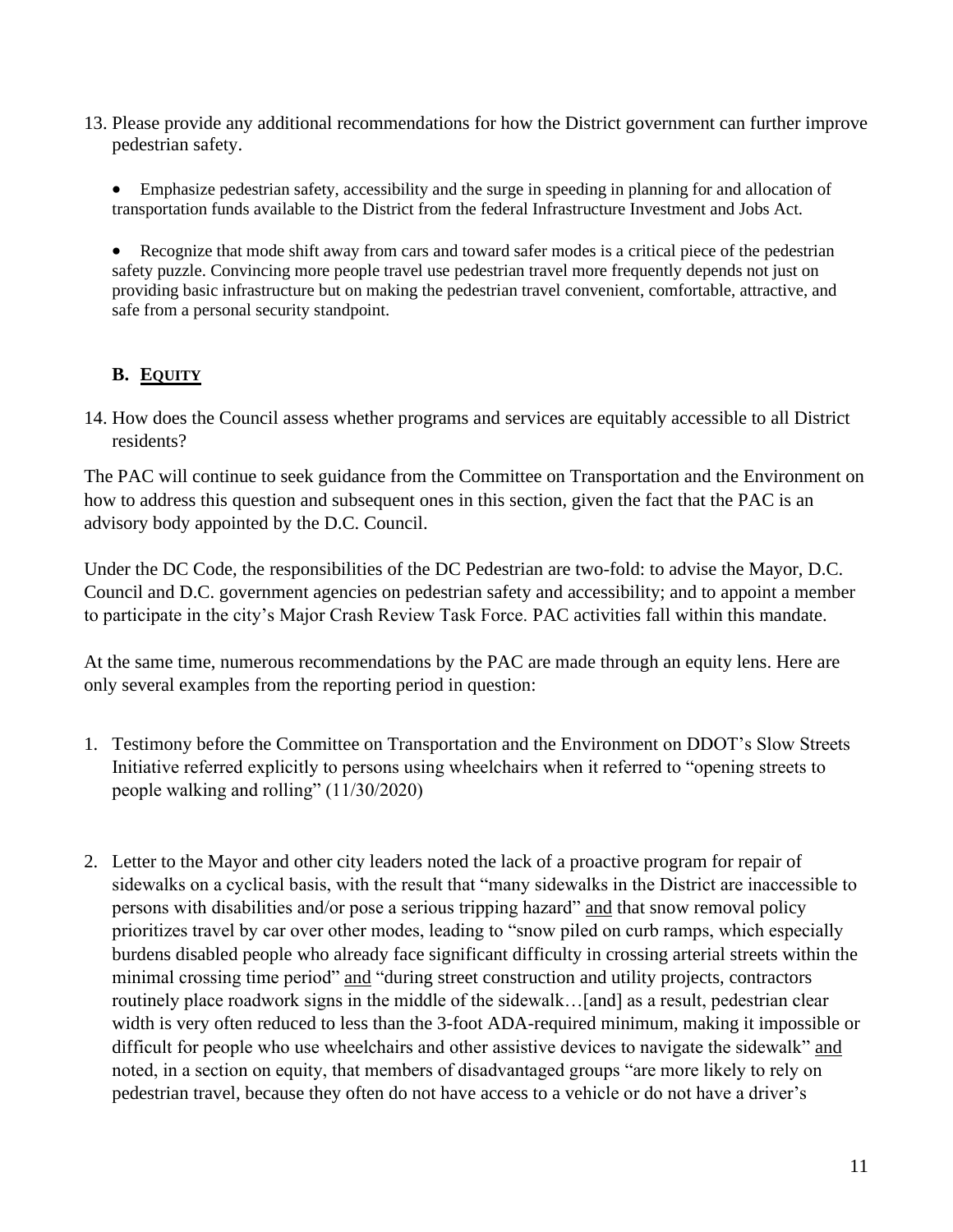13. Please provide any additional recommendations for how the District government can further improve pedestrian safety.

• Emphasize pedestrian safety, accessibility and the surge in speeding in planning for and allocation of transportation funds available to the District from the federal Infrastructure Investment and Jobs Act.

• Recognize that mode shift away from cars and toward safer modes is a critical piece of the pedestrian safety puzzle. Convincing more people travel use pedestrian travel more frequently depends not just on providing basic infrastructure but on making the pedestrian travel convenient, comfortable, attractive, and safe from a personal security standpoint.

## **B. EQUITY**

14. How does the Council assess whether programs and services are equitably accessible to all District residents?

The PAC will continue to seek guidance from the Committee on Transportation and the Environment on how to address this question and subsequent ones in this section, given the fact that the PAC is an advisory body appointed by the D.C. Council.

Under the DC Code, the responsibilities of the DC Pedestrian are two-fold: to advise the Mayor, D.C. Council and D.C. government agencies on pedestrian safety and accessibility; and to appoint a member to participate in the city's Major Crash Review Task Force. PAC activities fall within this mandate.

At the same time, numerous recommendations by the PAC are made through an equity lens. Here are only several examples from the reporting period in question:

- 1. Testimony before the Committee on Transportation and the Environment on DDOT's Slow Streets Initiative referred explicitly to persons using wheelchairs when it referred to "opening streets to people walking and rolling" (11/30/2020)
- 2. Letter to the Mayor and other city leaders noted the lack of a proactive program for repair of sidewalks on a cyclical basis, with the result that "many sidewalks in the District are inaccessible to persons with disabilities and/or pose a serious tripping hazard" and that snow removal policy prioritizes travel by car over other modes, leading to "snow piled on curb ramps, which especially burdens disabled people who already face significant difficulty in crossing arterial streets within the minimal crossing time period" and "during street construction and utility projects, contractors routinely place roadwork signs in the middle of the sidewalk...[and] as a result, pedestrian clear width is very often reduced to less than the 3-foot ADA-required minimum, making it impossible or difficult for people who use wheelchairs and other assistive devices to navigate the sidewalk" and noted, in a section on equity, that members of disadvantaged groups "are more likely to rely on pedestrian travel, because they often do not have access to a vehicle or do not have a driver's